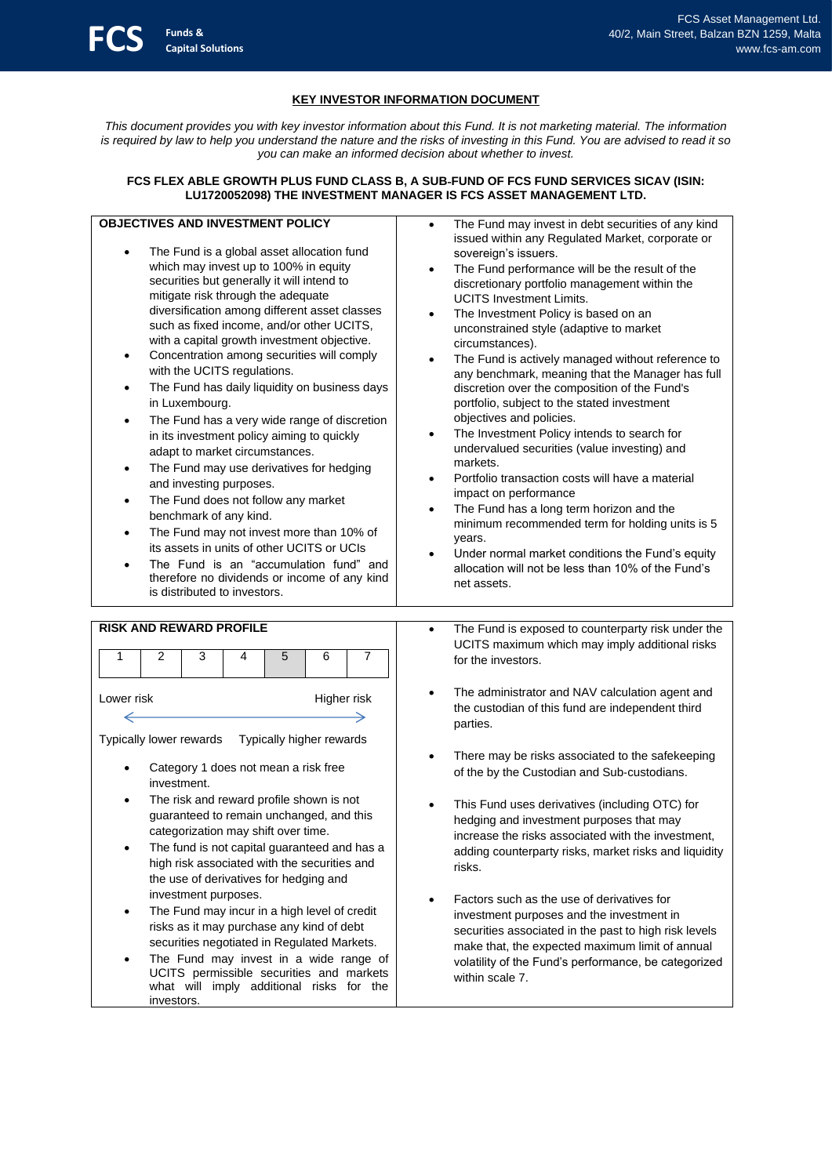# **KEY INVESTOR INFORMATION DOCUMENT**

*This document provides you with key investor information about this Fund. It is not marketing material. The information is required by law to help you understand the nature and the risks of investing in this Fund. You are advised to read it so you can make an informed decision about whether to invest.*

## **FCS FLEX ABLE GROWTH PLUS FUND CLASS B, A SUB**‐**FUND OF FCS FUND SERVICES SICAV (ISIN: LU1720052098) THE INVESTMENT MANAGER IS FCS ASSET MANAGEMENT LTD.**

# **OBJECTIVES AND INVESTMENT POLICY**

**Funds & Capital Solutions**

- The Fund is a global asset allocation fund which may invest up to 100% in equity securities but generally it will intend to mitigate risk through the adequate diversification among different asset classes such as fixed income, and/or other UCITS, with a capital growth investment objective.
- Concentration among securities will comply with the UCITS regulations.
- The Fund has daily liquidity on business days in Luxembourg.
- The Fund has a very wide range of discretion in its investment policy aiming to quickly adapt to market circumstances.
- The Fund may use derivatives for hedging and investing purposes.
- The Fund does not follow any market benchmark of any kind.
- The Fund may not invest more than 10% of its assets in units of other UCITS or UCIs
- The Fund is an "accumulation fund" and therefore no dividends or income of any kind is distributed to investors.
- The Fund may invest in debt securities of any kind issued within any Regulated Market, corporate or sovereign's issuers.
- The Fund performance will be the result of the discretionary portfolio management within the UCITS Investment Limits.
- The Investment Policy is based on an unconstrained style (adaptive to market circumstances).
- The Fund is actively managed without reference to any benchmark, meaning that the Manager has full discretion over the composition of the Fund's portfolio, subject to the stated investment objectives and policies.
- The Investment Policy intends to search for undervalued securities (value investing) and markets.
- Portfolio transaction costs will have a material impact on performance
- The Fund has a long term horizon and the minimum recommended term for holding units is 5 years.
- Under normal market conditions the Fund's equity allocation will not be less than 10% of the Fund's net assets.

| <b>RISK AND REWARD PROFILE</b>                                                                                                              |                                                                                                                                                                                                       |   |   |   |   |   |  |
|---------------------------------------------------------------------------------------------------------------------------------------------|-------------------------------------------------------------------------------------------------------------------------------------------------------------------------------------------------------|---|---|---|---|---|--|
|                                                                                                                                             | 2                                                                                                                                                                                                     | 3 | 4 | 5 | 6 | 7 |  |
| Lower risk<br>Higher risk                                                                                                                   |                                                                                                                                                                                                       |   |   |   |   |   |  |
| Typically lower rewards<br>Typically higher rewards                                                                                         |                                                                                                                                                                                                       |   |   |   |   |   |  |
| Category 1 does not mean a risk free<br>investment.<br>The risk and reward profile shown is not<br>guaranteed to remain unchanged, and this |                                                                                                                                                                                                       |   |   |   |   |   |  |
|                                                                                                                                             | categorization may shift over time.<br>The fund is not capital guaranteed and has a<br>high risk associated with the securities and<br>the use of derivatives for hedging and<br>investment purposes. |   |   |   |   |   |  |
|                                                                                                                                             | The Fund may incur in a high level of credit<br>risks as it may purchase any kind of debt<br>securities negotiated in Regulated Markets.                                                              |   |   |   |   |   |  |

The Fund may invest in a wide range of UCITS permissible securities and markets what will imply additional risks for the investors.

- The Fund is exposed to counterparty risk under the UCITS maximum which may imply additional risks for the investors.
- The administrator and NAV calculation agent and the custodian of this fund are independent third parties.
- There may be risks associated to the safekeeping of the by the Custodian and Sub‐custodians.
- This Fund uses derivatives (including OTC) for hedging and investment purposes that may increase the risks associated with the investment, adding counterparty risks, market risks and liquidity risks.
- Factors such as the use of derivatives for investment purposes and the investment in securities associated in the past to high risk levels make that, the expected maximum limit of annual volatility of the Fund's performance, be categorized within scale 7.